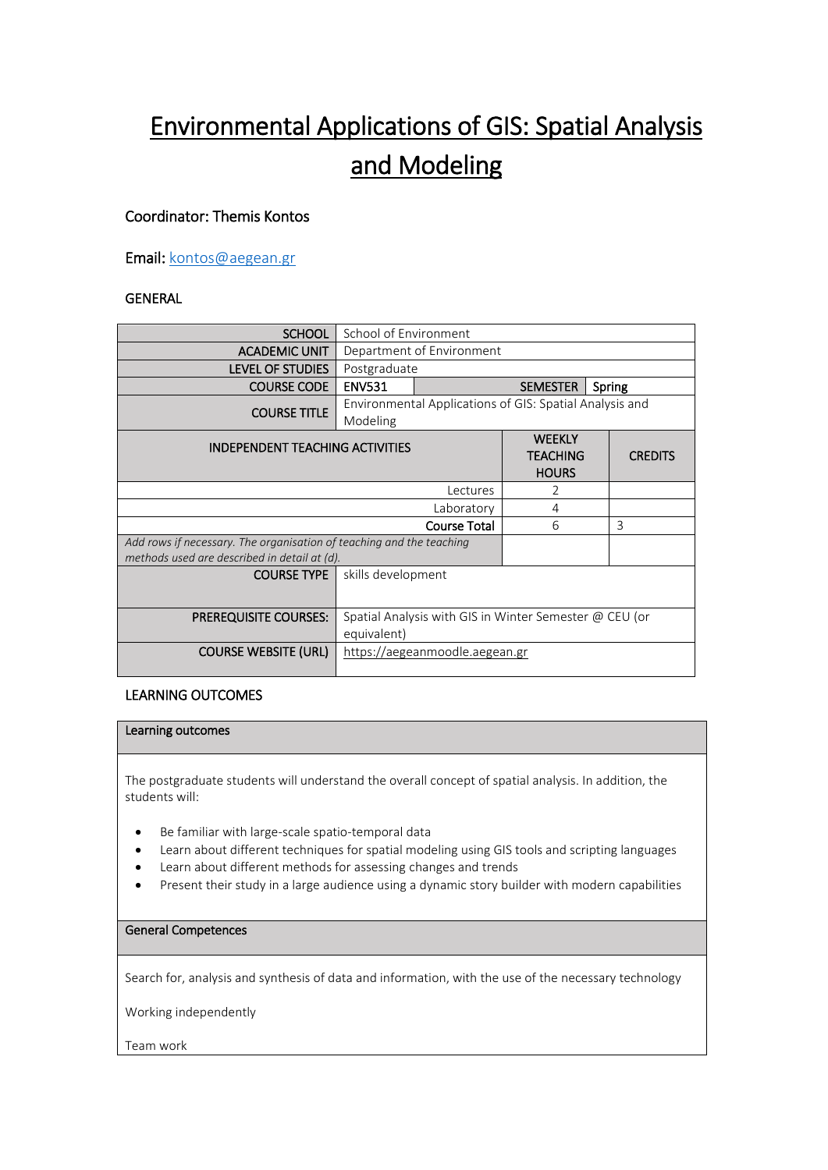# Environmental Applications of GIS: Spatial Analysis and Modeling

# Coordinator: Themis Kontos

Email[: kontos@aegean.gr](mailto:kontos@aegean.gr)

# GENERAL

| <b>SCHOOL</b>                                                                                                        | School of Environment                                                 |                           |                                                  |                |  |
|----------------------------------------------------------------------------------------------------------------------|-----------------------------------------------------------------------|---------------------------|--------------------------------------------------|----------------|--|
| <b>ACADEMIC UNIT</b>                                                                                                 | Department of Environment                                             |                           |                                                  |                |  |
| <b>LEVEL OF STUDIES</b>                                                                                              | Postgraduate                                                          |                           |                                                  |                |  |
| <b>COURSE CODE</b>                                                                                                   | <b>ENV531</b>                                                         | <b>SEMESTER</b><br>Spring |                                                  |                |  |
| <b>COURSE TITLE</b>                                                                                                  | Environmental Applications of GIS: Spatial Analysis and<br>Modeling   |                           |                                                  |                |  |
|                                                                                                                      | <b>INDEPENDENT TEACHING ACTIVITIES</b>                                |                           | <b>WEEKLY</b><br><b>TEACHING</b><br><b>HOURS</b> | <b>CREDITS</b> |  |
| Lectures                                                                                                             |                                                                       |                           | 2                                                |                |  |
| Laboratory                                                                                                           |                                                                       |                           | 4                                                |                |  |
| <b>Course Total</b>                                                                                                  |                                                                       |                           | 6                                                | 3              |  |
| Add rows if necessary. The organisation of teaching and the teaching<br>methods used are described in detail at (d). |                                                                       |                           |                                                  |                |  |
| <b>COURSE TYPE</b>                                                                                                   | skills development                                                    |                           |                                                  |                |  |
| <b>PREREQUISITE COURSES:</b>                                                                                         | Spatial Analysis with GIS in Winter Semester @ CEU (or<br>equivalent) |                           |                                                  |                |  |
| <b>COURSE WEBSITE (URL)</b>                                                                                          | https://aegeanmoodle.aegean.gr                                        |                           |                                                  |                |  |

## LEARNING OUTCOMES

#### Learning outcomes

The postgraduate students will understand the overall concept of spatial analysis. In addition, the students will:

- Be familiar with large-scale spatio-temporal data
- Learn about different techniques for spatial modeling using GIS tools and scripting languages
- Learn about different methods for assessing changes and trends
- Present their study in a large audience using a dynamic story builder with modern capabilities

#### General Competences

Search for, analysis and synthesis of data and information, with the use of the necessary technology

Working independently

Team work